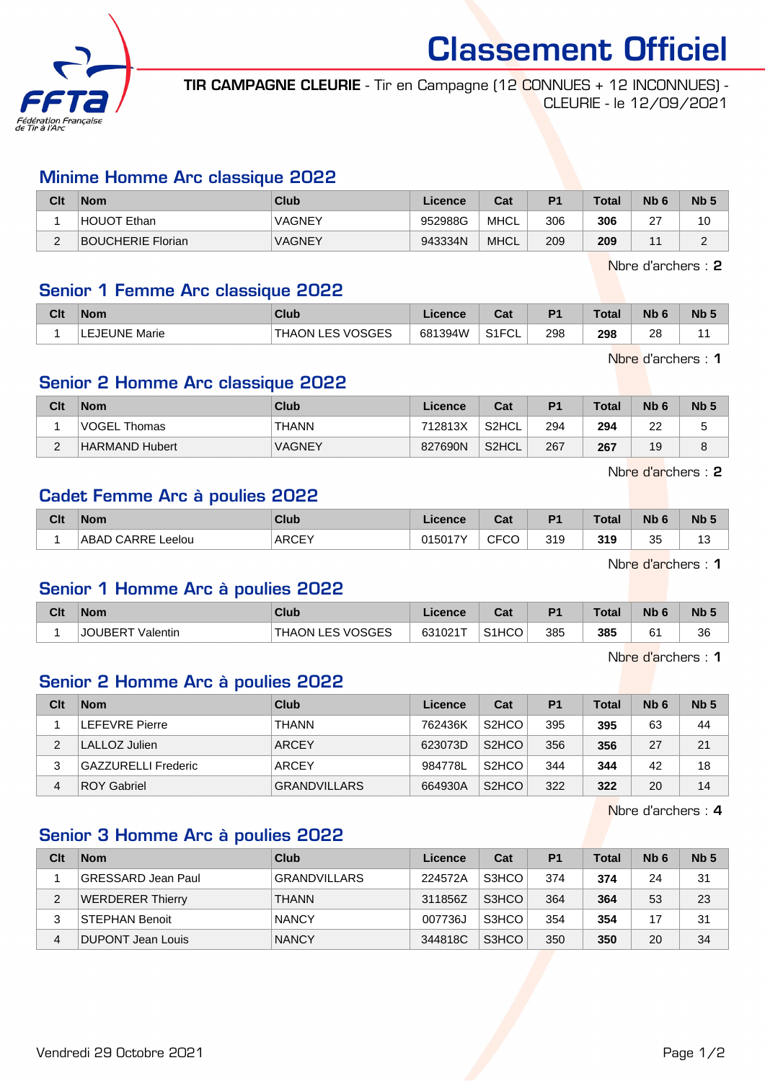

Classement Officiel

TIR CAMPAGNE CLEURIE - Tir en Campagne (12 CONNUES + 12 INCONNUES) - CLEURIE - le 12/09/2021

#### Minime Homme Arc classique 2022

| Clt | Nom               | Club          | Licence | Cat         | D <sub>1</sub> | $\tau$ otal | Nb <sub>6</sub> | N <sub>b</sub> <sub>5</sub> |
|-----|-------------------|---------------|---------|-------------|----------------|-------------|-----------------|-----------------------------|
|     | HOUOT Ethan       | VAGNEY        | 952988G | <b>MHCL</b> | 306            | 306         | $\sim$<br>▃     |                             |
| -   | BOUCHERIE Florian | <b>VAGNEY</b> | 943334N | <b>MHCL</b> | 209            | 209         | л.              |                             |

Nbre d'archers : 2

## Senior 1 Femme Arc classique 2022

| Clt | <b>Nom</b>    | Club                         | icence  | ◠孪<br>va.                            | D <sub>4</sub> | <b>Total</b> | <b>Nb</b>    | <b>N<sub>b</sub></b> |
|-----|---------------|------------------------------|---------|--------------------------------------|----------------|--------------|--------------|----------------------|
|     | LEJEUNE Marie | SVOSGES<br>ES.<br>ON<br>THAL | 681394W | $\sim$ $\sim$ $\sim$<br>ு⊨⊖∟<br>۱۱ ت | 298            | 298          | 28<br>$\sim$ |                      |

Nbre d'archers : 1

#### Senior 2 Homme Arc classique 2022

| Clt    | <b>Nom</b>     | Club          | Licence | Cat                | P <sub>1</sub> | <b>Total</b> | N <sub>b</sub> 6 | Nb <sub>5</sub> |
|--------|----------------|---------------|---------|--------------------|----------------|--------------|------------------|-----------------|
|        | VOGEL Thomas   | <b>THANN</b>  | 712813X | S2HCL              | 294            | 294          | $\sim$<br>ے      |                 |
| $\sim$ | HARMAND Hubert | <b>VAGNEY</b> | 827690N | S2HCL <sup>®</sup> | 267            | 267          | 19               |                 |

Nbre d'archers : 2

## Cadet Femme Arc à poulies 2022

| <b>CFCO</b><br><b>ARCEY</b><br>319<br>つら<br>015017Y<br>319<br>CARRE<br>ABAD<br>Leelou<br>v | Clt | <b>Nom</b> | Club | Licence | <b>Cost</b><br>ual | P <sub>1</sub> | Total | <b>N<sub>b</sub></b> | Nb <sub>5</sub>   |
|--------------------------------------------------------------------------------------------|-----|------------|------|---------|--------------------|----------------|-------|----------------------|-------------------|
|                                                                                            |     |            |      |         |                    |                |       |                      | $\sqrt{2}$<br>ں ا |

Nbre d'archers : 1

## Senior 1 Homme Arc à poulies 2022

| Clt | Nom                        | Club              | Licence | <b>Dol</b><br>ud.  | P <sub>1</sub> | Total | <b>Nb</b> | Nb <sub>5</sub> |
|-----|----------------------------|-------------------|---------|--------------------|----------------|-------|-----------|-----------------|
|     | <b>JOUBERT</b><br>Valentin | 'THAON LES VOSGES | 631021T | S <sub>1</sub> HCO | 385            | 385   | ົ         | 36              |

Nbre d'archers : 1

#### Senior 2 Homme Arc à poulies 2022

| Clt | <b>Nom</b>                 | <b>Club</b>         | Licence | Cat                | P <sub>1</sub> | <b>Total</b> | N <sub>b</sub> 6 | Nb <sub>5</sub> |
|-----|----------------------------|---------------------|---------|--------------------|----------------|--------------|------------------|-----------------|
|     | <b>LEFEVRE Pierre</b>      | <b>THANN</b>        | 762436K | S <sub>2</sub> HCO | 395            | 395          | 63               | 44              |
|     | LALLOZ Julien              | <b>ARCEY</b>        | 623073D | S <sub>2</sub> HCO | 356            | 356          | 27               | 21              |
|     | <b>GAZZURELLI Frederic</b> | <b>ARCEY</b>        | 984778L | S <sub>2</sub> HCO | 344            | 344          | 42               | 18              |
| 4   | <b>ROY Gabriel</b>         | <b>GRANDVILLARS</b> | 664930A | S <sub>2</sub> HCO | 322            | 322          | 20               | 14              |

Nbre d'archers : 4

# Senior 3 Homme Arc à poulies 2022

| Clt | <b>Nom</b>              | Club                | Licence | Cat   | P <sub>1</sub> | <b>Total</b> | N <sub>b</sub> 6 | Nb <sub>5</sub> |
|-----|-------------------------|---------------------|---------|-------|----------------|--------------|------------------|-----------------|
|     | GRESSARD Jean Paul      | <b>GRANDVILLARS</b> | 224572A | S3HCO | 374            | 374          | 24               | 31              |
|     | <b>WERDERER Thierry</b> | <b>THANN</b>        | 311856Z | S3HCO | 364            | 364          | 53               | 23              |
|     | STEPHAN Benoit          | <b>NANCY</b>        | 007736J | S3HCO | 354            | 354          | 17               | 31              |
| 4   | DUPONT Jean Louis       | <b>NANCY</b>        | 344818C | S3HCO | 350            | 350          | 20               | 34              |